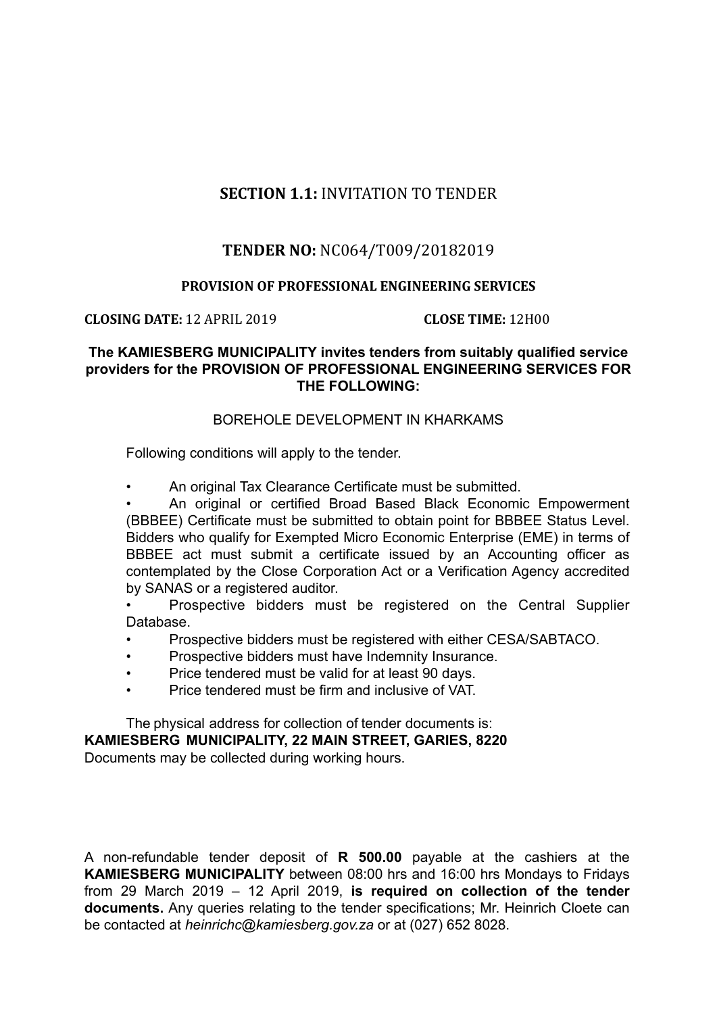# **SECTION 1.1: INVITATION TO TENDER**

## **TENDER NO:** NC064/T009/20182019

## **PROVISION OF PROFESSIONAL ENGINEERING SERVICES**

#### **CLOSING DATE:** 12 APRIL 2019 **CLOSE TIME:** 12H00

#### **The KAMIESBERG MUNICIPALITY invites tenders from suitably qualified service providers for the PROVISION OF PROFESSIONAL ENGINEERING SERVICES FOR THE FOLLOWING:**

## BOREHOLE DEVELOPMENT IN KHARKAMS

Following conditions will apply to the tender.

• An original Tax Clearance Certificate must be submitted.

• An original or certified Broad Based Black Economic Empowerment (BBBEE) Certificate must be submitted to obtain point for BBBEE Status Level. Bidders who qualify for Exempted Micro Economic Enterprise (EME) in terms of BBBEE act must submit a certificate issued by an Accounting officer as contemplated by the Close Corporation Act or a Verification Agency accredited by SANAS or a registered auditor.

• Prospective bidders must be registered on the Central Supplier Database.

- Prospective bidders must be registered with either CESA/SABTACO.
- Prospective bidders must have Indemnity Insurance.
- Price tendered must be valid for at least 90 days.
- Price tendered must be firm and inclusive of VAT.

The physical address for collection of tender documents is: **KAMIESBERG MUNICIPALITY, 22 MAIN STREET, GARIES, 8220**  Documents may be collected during working hours.

A non-refundable tender deposit of **R 500.00** payable at the cashiers at the **KAMIESBERG MUNICIPALITY** between 08:00 hrs and 16:00 hrs Mondays to Fridays from 29 March 2019 – 12 April 2019, **is required on collection of the tender documents.** Any queries relating to the tender specifications; Mr. Heinrich Cloete can be contacted at *heinrichc@kamiesberg.gov.za* or at (027) 652 8028.